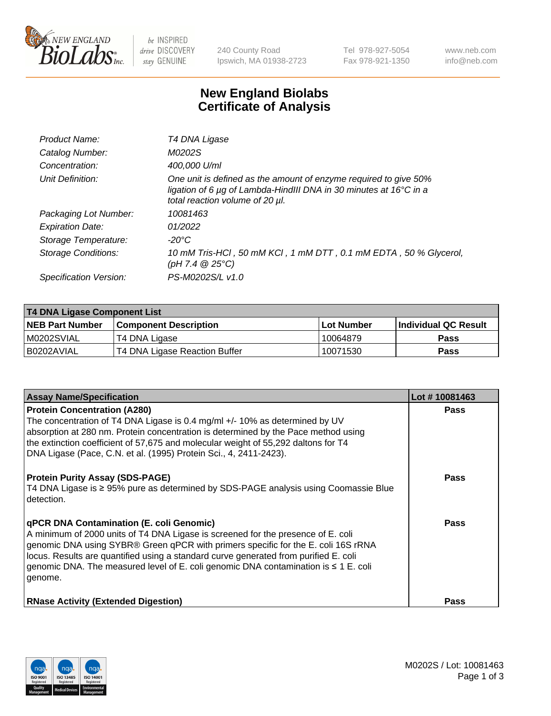

 $be$  INSPIRED drive DISCOVERY stay GENUINE

240 County Road Ipswich, MA 01938-2723 Tel 978-927-5054 Fax 978-921-1350 www.neb.com info@neb.com

## **New England Biolabs Certificate of Analysis**

| Product Name:           | T4 DNA Ligase                                                                                                                                                            |
|-------------------------|--------------------------------------------------------------------------------------------------------------------------------------------------------------------------|
| Catalog Number:         | M0202S                                                                                                                                                                   |
| Concentration:          | 400,000 U/ml                                                                                                                                                             |
| Unit Definition:        | One unit is defined as the amount of enzyme required to give 50%<br>ligation of 6 µg of Lambda-HindIII DNA in 30 minutes at 16°C in a<br>total reaction volume of 20 µl. |
| Packaging Lot Number:   | 10081463                                                                                                                                                                 |
| <b>Expiration Date:</b> | 01/2022                                                                                                                                                                  |
| Storage Temperature:    | $-20^{\circ}$ C                                                                                                                                                          |
| Storage Conditions:     | 10 mM Tris-HCl, 50 mM KCl, 1 mM DTT, 0.1 mM EDTA, 50 % Glycerol,<br>(pH 7.4 $@25°C$ )                                                                                    |
| Specification Version:  | PS-M0202S/L v1.0                                                                                                                                                         |

| T4 DNA Ligase Component List |                               |              |                             |  |
|------------------------------|-------------------------------|--------------|-----------------------------|--|
| <b>NEB Part Number</b>       | <b>Component Description</b>  | l Lot Number | <b>Individual QC Result</b> |  |
| M0202SVIAL                   | T4 DNA Ligase                 | 10064879     | <b>Pass</b>                 |  |
| I B0202AVIAL                 | T4 DNA Ligase Reaction Buffer | 10071530     | <b>Pass</b>                 |  |

| <b>Assay Name/Specification</b>                                                                                                                                                                                                                                                                                                                                                                                         | Lot #10081463 |
|-------------------------------------------------------------------------------------------------------------------------------------------------------------------------------------------------------------------------------------------------------------------------------------------------------------------------------------------------------------------------------------------------------------------------|---------------|
| <b>Protein Concentration (A280)</b><br>The concentration of T4 DNA Ligase is 0.4 mg/ml +/- 10% as determined by UV<br>absorption at 280 nm. Protein concentration is determined by the Pace method using<br>the extinction coefficient of 57,675 and molecular weight of 55,292 daltons for T4<br>  DNA Ligase (Pace, C.N. et al. (1995) Protein Sci., 4, 2411-2423).                                                   | <b>Pass</b>   |
| <b>Protein Purity Assay (SDS-PAGE)</b><br>T4 DNA Ligase is ≥ 95% pure as determined by SDS-PAGE analysis using Coomassie Blue<br>detection.                                                                                                                                                                                                                                                                             | Pass          |
| <b>qPCR DNA Contamination (E. coli Genomic)</b><br>A minimum of 2000 units of T4 DNA Ligase is screened for the presence of E. coli<br>genomic DNA using SYBR® Green qPCR with primers specific for the E. coli 16S rRNA<br>locus. Results are quantified using a standard curve generated from purified E. coli<br>genomic DNA. The measured level of E. coli genomic DNA contamination is $\leq 1$ E. coli<br>genome. | Pass          |
| <b>RNase Activity (Extended Digestion)</b>                                                                                                                                                                                                                                                                                                                                                                              | <b>Pass</b>   |

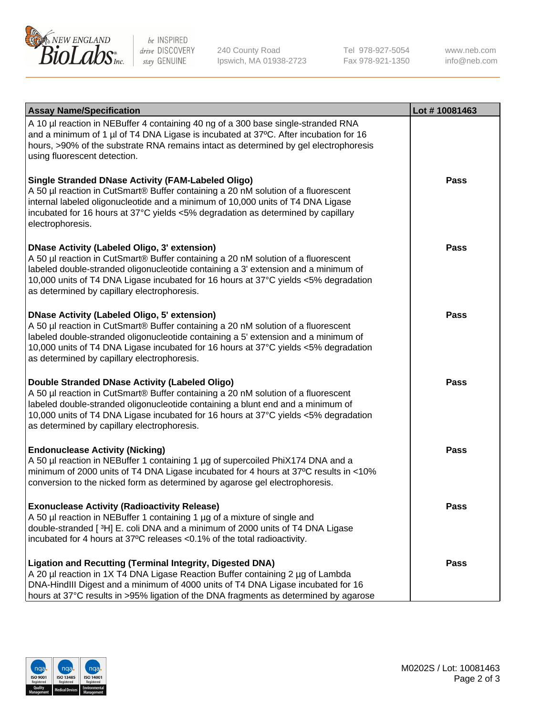

be INSPIRED drive DISCOVERY stay GENUINE

240 County Road Ipswich, MA 01938-2723 Tel 978-927-5054 Fax 978-921-1350

www.neb.com info@neb.com

| <b>Assay Name/Specification</b>                                                                                                                                                                                                                                                                                                                                      | Lot #10081463 |
|----------------------------------------------------------------------------------------------------------------------------------------------------------------------------------------------------------------------------------------------------------------------------------------------------------------------------------------------------------------------|---------------|
| A 10 µl reaction in NEBuffer 4 containing 40 ng of a 300 base single-stranded RNA<br>and a minimum of 1 µl of T4 DNA Ligase is incubated at 37°C. After incubation for 16<br>hours, >90% of the substrate RNA remains intact as determined by gel electrophoresis<br>using fluorescent detection.                                                                    |               |
| <b>Single Stranded DNase Activity (FAM-Labeled Oligo)</b><br>A 50 µl reaction in CutSmart® Buffer containing a 20 nM solution of a fluorescent<br>internal labeled oligonucleotide and a minimum of 10,000 units of T4 DNA Ligase<br>incubated for 16 hours at 37°C yields <5% degradation as determined by capillary<br>electrophoresis.                            | Pass          |
| <b>DNase Activity (Labeled Oligo, 3' extension)</b><br>A 50 µl reaction in CutSmart® Buffer containing a 20 nM solution of a fluorescent<br>labeled double-stranded oligonucleotide containing a 3' extension and a minimum of<br>10,000 units of T4 DNA Ligase incubated for 16 hours at 37°C yields <5% degradation<br>as determined by capillary electrophoresis. | <b>Pass</b>   |
| <b>DNase Activity (Labeled Oligo, 5' extension)</b><br>A 50 µl reaction in CutSmart® Buffer containing a 20 nM solution of a fluorescent<br>labeled double-stranded oligonucleotide containing a 5' extension and a minimum of<br>10,000 units of T4 DNA Ligase incubated for 16 hours at 37°C yields <5% degradation<br>as determined by capillary electrophoresis. | <b>Pass</b>   |
| Double Stranded DNase Activity (Labeled Oligo)<br>A 50 µl reaction in CutSmart® Buffer containing a 20 nM solution of a fluorescent<br>labeled double-stranded oligonucleotide containing a blunt end and a minimum of<br>10,000 units of T4 DNA Ligase incubated for 16 hours at 37°C yields <5% degradation<br>as determined by capillary electrophoresis.         | Pass          |
| <b>Endonuclease Activity (Nicking)</b><br>A 50 µl reaction in NEBuffer 1 containing 1 µg of supercoiled PhiX174 DNA and a<br>minimum of 2000 units of T4 DNA Ligase incubated for 4 hours at 37°C results in <10%<br>conversion to the nicked form as determined by agarose gel electrophoresis.                                                                     | <b>Pass</b>   |
| <b>Exonuclease Activity (Radioactivity Release)</b><br>A 50 µl reaction in NEBuffer 1 containing 1 µg of a mixture of single and<br>double-stranded [3H] E. coli DNA and a minimum of 2000 units of T4 DNA Ligase<br>incubated for 4 hours at 37°C releases <0.1% of the total radioactivity.                                                                        | Pass          |
| <b>Ligation and Recutting (Terminal Integrity, Digested DNA)</b><br>A 20 µl reaction in 1X T4 DNA Ligase Reaction Buffer containing 2 µg of Lambda<br>DNA-HindIII Digest and a minimum of 4000 units of T4 DNA Ligase incubated for 16<br>hours at 37°C results in >95% ligation of the DNA fragments as determined by agarose                                       | Pass          |